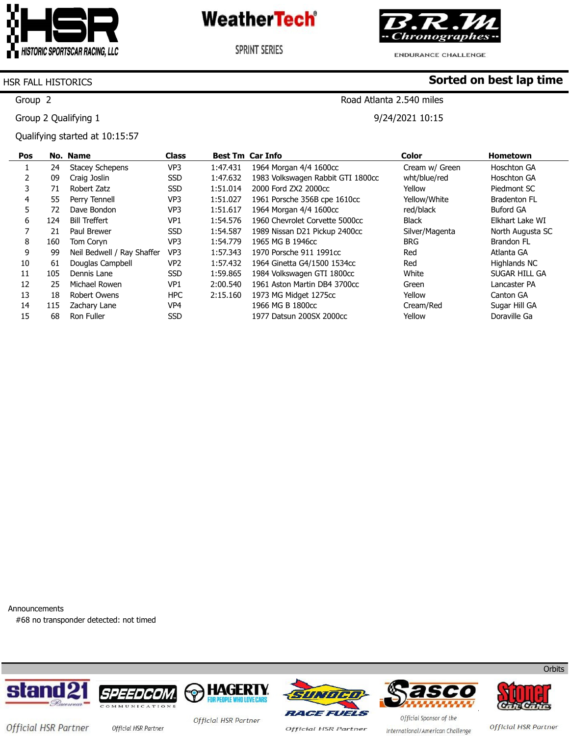

**SPRINT SERIES** 



**ENDURANCE CHALLENGE** 

**Sorted on best lap time**

#### HSR FALL HISTORICS

Group 2

Group 2 Qualifying 1

Qualifying started at 10:15:57

### Road Atlanta 2.540 miles

9/24/2021 10:15

| Pos |     | No. Name                   | <b>Class</b>    |          | <b>Best Tm Car Info</b>           | <b>Color</b>   | <b>Hometown</b>     |
|-----|-----|----------------------------|-----------------|----------|-----------------------------------|----------------|---------------------|
| Ŧ.  | 24  | <b>Stacey Schepens</b>     | VP <sub>3</sub> | 1:47.431 | 1964 Morgan 4/4 1600cc            | Cream w/ Green | Hoschton GA         |
|     | 09  | Craig Joslin               | <b>SSD</b>      | 1:47.632 | 1983 Volkswagen Rabbit GTI 1800cc | wht/blue/red   | Hoschton GA         |
|     | 71  | Robert Zatz                | <b>SSD</b>      | 1:51.014 | 2000 Ford ZX2 2000cc              | Yellow         | Piedmont SC         |
| 4   | 55  | Perry Tennell              | VP3             | 1:51.027 | 1961 Porsche 356B cpe 1610cc      | Yellow/White   | <b>Bradenton FL</b> |
| 5.  | 72  | Dave Bondon                | VP <sub>3</sub> | 1:51.617 | 1964 Morgan 4/4 1600cc            | red/black      | <b>Buford GA</b>    |
| 6   | 124 | <b>Bill Treffert</b>       | VP <sub>1</sub> | 1:54.576 | 1960 Chevrolet Corvette 5000cc    | <b>Black</b>   | Elkhart Lake WI     |
|     | 21  | Paul Brewer                | <b>SSD</b>      | 1:54.587 | 1989 Nissan D21 Pickup 2400cc     | Silver/Magenta | North Augusta SC    |
| 8   | 160 | Tom Coryn                  | VP3             | 1:54.779 | 1965 MG B 1946cc                  | <b>BRG</b>     | Brandon FL          |
| 9   | 99  | Neil Bedwell / Ray Shaffer | VP <sub>3</sub> | 1:57.343 | 1970 Porsche 911 1991cc           | Red            | Atlanta GA          |
| 10  | 61  | Douglas Campbell           | VP <sub>2</sub> | 1:57.432 | 1964 Ginetta G4/1500 1534cc       | Red            | Highlands NC        |
| 11  | 105 | Dennis Lane                | <b>SSD</b>      | 1:59.865 | 1984 Volkswagen GTI 1800cc        | White          | SUGAR HILL GA       |
| 12  | 25  | Michael Rowen              | VP <sub>1</sub> | 2:00.540 | 1961 Aston Martin DB4 3700cc      | Green          | Lancaster PA        |
| 13  | 18  | Robert Owens               | <b>HPC</b>      | 2:15.160 | 1973 MG Midget 1275cc             | Yellow         | Canton GA           |
| 14  | 115 | Zachary Lane               | VP4             |          | 1966 MG B 1800cc                  | Cream/Red      | Sugar Hill GA       |
| 15  | 68  | Ron Fuller                 | <b>SSD</b>      |          | 1977 Datsun 200SX 2000cc          | Yellow         | Doraville Ga        |

Announcements

#68 no transponder detected: not timed









**RACE FUELS Official HSR Partner** 





Official HSR Partner

**Orbits** 

Official HSR Partner

Official Sponsor of the International/American Challenge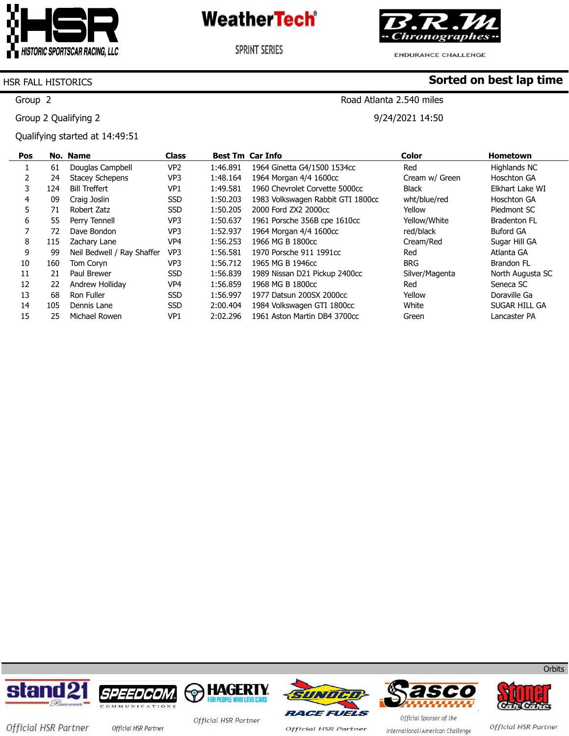

**SPRINT SERIES** 



ENDURANCE CHALLENGE

#### HSR FALL HISTORICS

Group 2

Group 2 Qualifying 2

Qualifying started at 14:49:51

### **Sorted on best lap time**

### Road Atlanta 2.540 miles

9/24/2021 14:50

| Pos |     | No. Name                   | <b>Class</b>    |          | <b>Best Tm Car Info</b>           | <b>Color</b>   | <b>Hometown</b>     |
|-----|-----|----------------------------|-----------------|----------|-----------------------------------|----------------|---------------------|
|     | 61  | Douglas Campbell           | VP <sub>2</sub> | 1:46.891 | 1964 Ginetta G4/1500 1534cc       | Red            | Highlands NC        |
|     | 24  | <b>Stacey Schepens</b>     | VP3             | 1:48.164 | 1964 Morgan 4/4 1600cc            | Cream w/ Green | Hoschton GA         |
| 3.  | 124 | <b>Bill Treffert</b>       | VP1             | 1:49.581 | 1960 Chevrolet Corvette 5000cc    | Black          | Elkhart Lake WI     |
| 4   | 09  | Craig Joslin               | <b>SSD</b>      | 1:50.203 | 1983 Volkswagen Rabbit GTI 1800cc | wht/blue/red   | <b>Hoschton GA</b>  |
| 5   | 71  | Robert Zatz                | <b>SSD</b>      | 1:50.205 | 2000 Ford ZX2 2000cc              | Yellow         | Piedmont SC         |
| 6   | 55  | Perry Tennell              | VP <sub>3</sub> | 1:50.637 | 1961 Porsche 356B cpe 1610cc      | Yellow/White   | <b>Bradenton FL</b> |
|     | 72  | Dave Bondon                | VP3             | 1:52.937 | 1964 Morgan 4/4 1600cc            | red/black      | <b>Buford GA</b>    |
| 8   | 115 | Zachary Lane               | VP4             | 1:56.253 | 1966 MG B 1800cc                  | Cream/Red      | Sugar Hill GA       |
| 9   | 99  | Neil Bedwell / Ray Shaffer | VP3             | 1:56.581 | 1970 Porsche 911 1991cc           | Red            | Atlanta GA          |
| 10  | 160 | Tom Coryn                  | VP3             | 1:56.712 | 1965 MG B 1946cc                  | <b>BRG</b>     | Brandon FL          |
| 11  | 21  | Paul Brewer                | <b>SSD</b>      | 1:56.839 | 1989 Nissan D21 Pickup 2400cc     | Silver/Magenta | North Augusta SC    |
| 12  | 22  | Andrew Holliday            | VP <sub>4</sub> | 1:56.859 | 1968 MG B 1800cc                  | Red            | Seneca SC           |
| 13  | 68  | Ron Fuller                 | <b>SSD</b>      | 1:56.997 | 1977 Datsun 200SX 2000cc          | Yellow         | Doraville Ga        |
| 14  | 105 | Dennis Lane                | <b>SSD</b>      | 2:00.404 | 1984 Volkswagen GTI 1800cc        | White          | SUGAR HILL GA       |
| 15  | 25  | Michael Rowen              | VP <sub>1</sub> | 2:02.296 | 1961 Aston Martin DB4 3700cc      | Green          | Lancaster PA        |













Official HSR Partner Official HSR Partner

Official HSR Partner

**Official HSR Partner** 

Official Sponsor of the International/American Challenge

Official HSR Partner

**Orbits**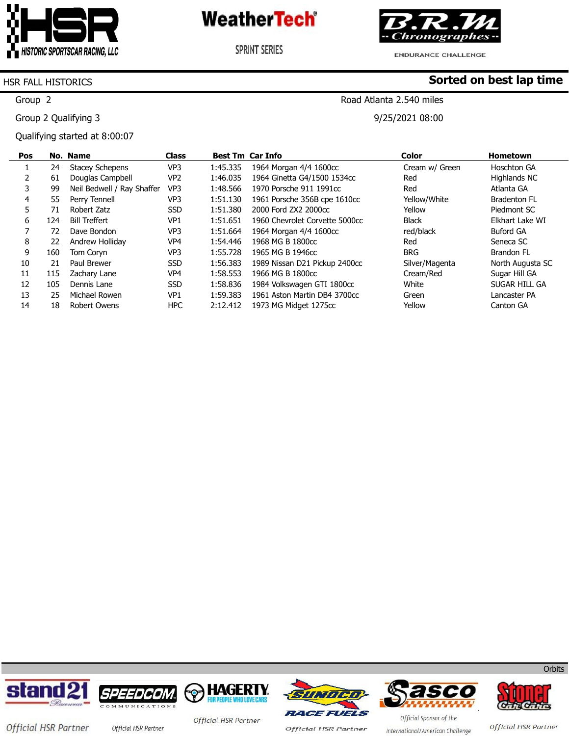

**SPRINT SERIES** 



**Sorted on best lap time**

**ENDURANCE CHALLENGE** 

#### HSR FALL HISTORICS

Group 2

Group 2 Qualifying 3

Qualifying started at 8:00:07

### Road Atlanta 2.540 miles

9/25/2021 08:00

| Pos |     | No. Name                   | <b>Class</b>    | <b>Best Tm Car Info</b> |                                | Color          | <b>Hometown</b>     |
|-----|-----|----------------------------|-----------------|-------------------------|--------------------------------|----------------|---------------------|
|     | 24  | <b>Stacey Schepens</b>     | VP <sub>3</sub> | 1:45.335                | 1964 Morgan 4/4 1600cc         | Cream w/ Green | Hoschton GA         |
|     | 61  | Douglas Campbell           | VP <sub>2</sub> | 1:46.035                | 1964 Ginetta G4/1500 1534cc    | Red            | Highlands NC        |
|     | 99  | Neil Bedwell / Ray Shaffer | VP3             | 1:48.566                | 1970 Porsche 911 1991cc        | Red            | Atlanta GA          |
| 4   | 55  | Perry Tennell              | VP <sub>3</sub> | 1:51.130                | 1961 Porsche 356B cpe 1610cc   | Yellow/White   | <b>Bradenton FL</b> |
|     | 71  | Robert Zatz                | <b>SSD</b>      | 1:51.380                | 2000 Ford ZX2 2000cc           | Yellow         | Piedmont SC         |
| 6   | 124 | <b>Bill Treffert</b>       | VP <sub>1</sub> | 1:51.651                | 1960 Chevrolet Corvette 5000cc | <b>Black</b>   | Elkhart Lake WI     |
|     | 72  | Dave Bondon                | VP <sub>3</sub> | 1:51.664                | 1964 Morgan 4/4 1600cc         | red/black      | <b>Buford GA</b>    |
| 8   | 22  | Andrew Holliday            | VP <sub>4</sub> | 1:54.446                | 1968 MG B 1800cc               | Red            | Seneca SC           |
| 9   | 160 | Tom Corvn                  | VP3             | 1:55.728                | 1965 MG B 1946cc               | <b>BRG</b>     | <b>Brandon FL</b>   |
| 10  | 21  | Paul Brewer                | <b>SSD</b>      | 1:56.383                | 1989 Nissan D21 Pickup 2400cc  | Silver/Magenta | North Augusta SC    |
| 11  | 115 | Zachary Lane               | VP4             | 1:58.553                | 1966 MG B 1800cc               | Cream/Red      | Sugar Hill GA       |
| 12  | 105 | Dennis Lane                | <b>SSD</b>      | 1:58.836                | 1984 Volkswagen GTI 1800cc     | White          | SUGAR HILL GA       |
| 13  | 25  | Michael Rowen              | VP <sub>1</sub> | 1:59.383                | 1961 Aston Martin DB4 3700cc   | Green          | Lancaster PA        |
| 14  | 18  | Robert Owens               | <b>HPC</b>      | 2:12.412                | 1973 MG Midget 1275cc          | Yellow         | Canton GA           |













**Orbits** 

Official HSR Partner

Official HSR Partner

**Official HSR Partner** 

International/American Challenge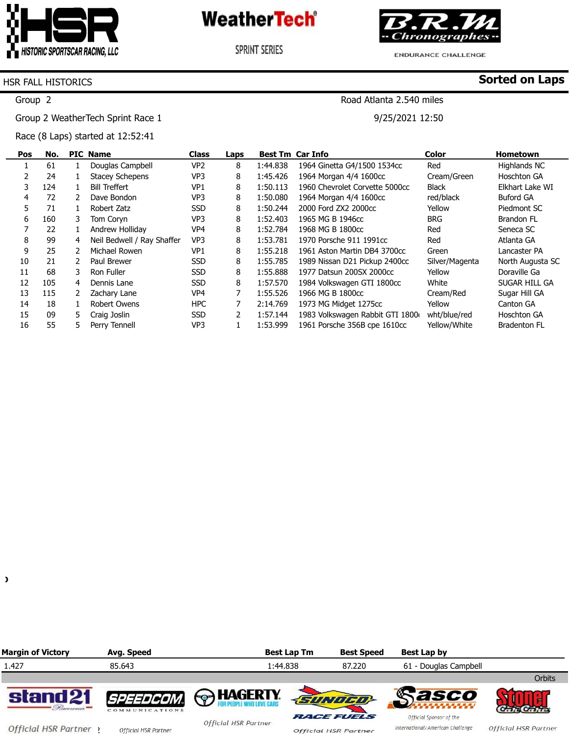

**SPRINT SERIES** 



**ENDURANCE CHALLENGE** 

Road Atlanta 2.540 miles

9/25/2021 12:50

**Sorted on Laps**

#### HSR FALL HISTORICS

Group 2

Group 2 WeatherTech Sprint Race 1

Race (8 Laps) started at 12:52:41

| Pos | No. |    | <b>PIC Name</b>            | <b>Class</b>    | Laps          |          | <b>Best Tm Car Info</b>         | <b>Color</b>   | <b>Hometown</b>     |
|-----|-----|----|----------------------------|-----------------|---------------|----------|---------------------------------|----------------|---------------------|
|     | 61  |    | Douglas Campbell           | VP2             | 8             | 1:44.838 | 1964 Ginetta G4/1500 1534cc     | Red            | Highlands NC        |
|     | 24  |    | <b>Stacey Schepens</b>     | VP <sub>3</sub> | 8             | 1:45.426 | 1964 Morgan 4/4 1600cc          | Cream/Green    | <b>Hoschton GA</b>  |
| 3   | 124 |    | <b>Bill Treffert</b>       | VP <sub>1</sub> | 8             | 1:50.113 | 1960 Chevrolet Corvette 5000cc  | <b>Black</b>   | Elkhart Lake WI     |
| 4   | 72  | 2  | Dave Bondon                | VP <sub>3</sub> | 8             | 1:50.080 | 1964 Morgan 4/4 1600cc          | red/black      | <b>Buford GA</b>    |
| 5   | 71  |    | Robert Zatz                | <b>SSD</b>      | 8             | 1:50.244 | 2000 Ford ZX2 2000cc            | Yellow         | Piedmont SC         |
| 6   | 160 | 3. | Tom Coryn                  | VP3             | 8             | 1:52.403 | 1965 MG B 1946cc                | <b>BRG</b>     | Brandon FL          |
|     | 22  |    | Andrew Hollidav            | VP4             | 8             | 1:52.784 | 1968 MG B 1800cc                | Red            | Seneca SC           |
| 8   | 99  | 4  | Neil Bedwell / Ray Shaffer | VP3             | 8             | 1:53.781 | 1970 Porsche 911 1991cc         | Red            | Atlanta GA          |
| 9   | 25  |    | Michael Rowen              | VP <sub>1</sub> | 8             | 1:55.218 | 1961 Aston Martin DB4 3700cc    | Green          | Lancaster PA        |
| 10  | 21  |    | Paul Brewer                | <b>SSD</b>      | 8             | 1:55.785 | 1989 Nissan D21 Pickup 2400cc   | Silver/Magenta | North Augusta SC    |
| 11  | 68  | 3. | Ron Fuller                 | <b>SSD</b>      | 8             | 1:55.888 | 1977 Datsun 200SX 2000cc        | Yellow         | Doraville Ga        |
| 12  | 105 | 4  | Dennis Lane                | <b>SSD</b>      | 8             | 1:57.570 | 1984 Volkswagen GTI 1800cc      | White          | SUGAR HILL GA       |
| 13  | 115 |    | Zachary Lane               | VP4             |               | 1:55.526 | 1966 MG B 1800cc                | Cream/Red      | Sugar Hill GA       |
| 14  | 18  |    | Robert Owens               | <b>HPC</b>      |               | 2:14.769 | 1973 MG Midget 1275cc           | Yellow         | Canton GA           |
| 15  | 09  | 5. | Craig Joslin               | <b>SSD</b>      | $\mathcal{P}$ | 1:57.144 | 1983 Volkswagen Rabbit GTI 1800 | wht/blue/red   | <b>Hoschton GA</b>  |
| 16  | 55  |    | Perry Tennell              | VP3             |               | 1:53.999 | 1961 Porsche 356B cpe 1610cc    | Yellow/White   | <b>Bradenton FL</b> |

 $\lambda$